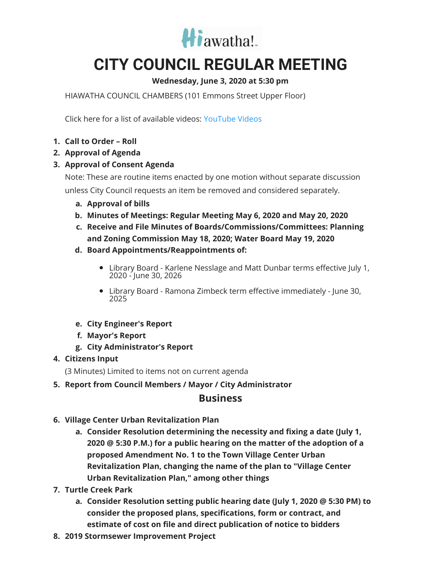

## **CITY COUNCIL REGULAR MEETING**

## **Wednesday, June 3, 2020 at 5:30 pm**

HIAWATHA COUNCIL CHAMBERS (101 Emmons Street Upper Floor)

Click here for a list of available videos: [YouTube](https://www.youtube.com/channel/UC3Vyub-x0FNe8YImqf5XsOQ) Videos

- **1. Call to Order – Roll**
- **2. Approval of Agenda**
- **3. Approval of Consent Agenda**

Note: These are routine items enacted by one motion without separate discussion unless City Council requests an item be removed and considered separately.

- **a. Approval of bills**
- **b. Minutes of Meetings: Regular Meeting May 6, 2020 and May 20, 2020**
- **c. Receive and File Minutes of Boards/Commissions/Committees: Planning and Zoning Commission May 18, 2020; Water Board May 19, 2020**
- **d. Board Appointments/Reappointments of:**
	- Library Board Karlene Nesslage and Matt Dunbar terms effective July 1, 2020 - June 30, 2026
	- Library Board Ramona Zimbeck term effective immediately June 30, 2025
- **e. City Engineer's Report**
- **f. Mayor's Report**
- **g. City Administrator's Report**

## **4. Citizens Input**

(3 Minutes) Limited to items not on current agenda

**5. Report from Council Members / Mayor / City Administrator**

## **Business**

- **6. Village Center Urban Revitalization Plan**
	- **a. Consider Resolution determining the necessity and fixing a date (July 1, 2020 @ 5:30 P.M.) for a public hearing on the matter of the adoption of a proposed Amendment No. 1 to the Town Village Center Urban Revitalization Plan, changing the name of the plan to "Village Center Urban Revitalization Plan," among other things**
- **7. Turtle Creek Park**
	- **a. Consider Resolution setting public hearing date (July 1, 2020 @ 5:30 PM) to consider the proposed plans, specifications, form or contract, and estimate of cost on file and direct publication of notice to bidders**
- **8. 2019 Stormsewer Improvement Project**